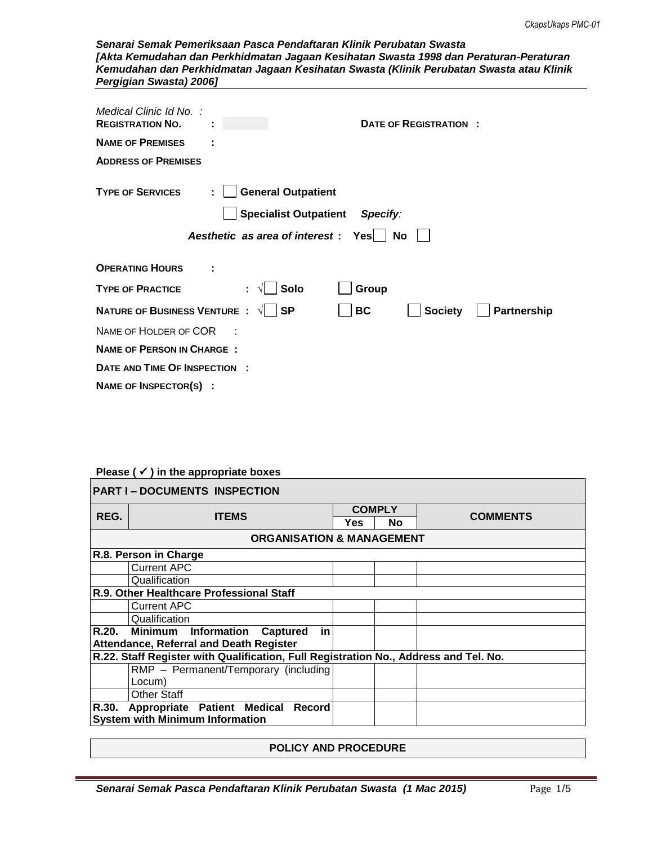| Medical Clinic Id No. :<br><b>REGISTRATION NO.</b> |                                                                                                  | DATE OF REGISTRATION :       |                    |
|----------------------------------------------------|--------------------------------------------------------------------------------------------------|------------------------------|--------------------|
| <b>NAME OF PREMISES</b>                            |                                                                                                  |                              |                    |
| <b>ADDRESS OF PREMISES</b>                         |                                                                                                  |                              |                    |
| <b>TYPE OF SERVICES</b><br>÷.                      | <b>General Outpatient</b><br><b>Specialist Outpatient</b><br>Aesthetic as area of interest : Yes | <b>Specify:</b><br><b>No</b> |                    |
| <b>OPERATING HOURS</b>                             |                                                                                                  |                              |                    |
| <b>TYPE OF PRACTICE</b>                            | Solo<br>÷                                                                                        | Group                        |                    |
| NATURE OF BUSINESS VENTURE : √ SP                  |                                                                                                  | BC<br><b>Society</b>         | <b>Partnership</b> |
| NAME OF HOLDER OF COR                              |                                                                                                  |                              |                    |
| <b>NAME OF PERSON IN CHARGE:</b>                   |                                                                                                  |                              |                    |
| DATE AND TIME OF INSPECTION :                      |                                                                                                  |                              |                    |
| NAME OF INSPECTOR(S) :                             |                                                                                                  |                              |                    |

## **Please ( ) in the appropriate boxes**

| <b>PART I-DOCUMENTS INSPECTION</b> |                                                                                      |                                    |  |                 |
|------------------------------------|--------------------------------------------------------------------------------------|------------------------------------|--|-----------------|
| REG.                               | <b>ITEMS</b>                                                                         | <b>COMPLY</b><br><b>No</b><br>Yes. |  | <b>COMMENTS</b> |
|                                    | <b>ORGANISATION &amp; MANAGEMENT</b>                                                 |                                    |  |                 |
|                                    | R.8. Person in Charge                                                                |                                    |  |                 |
|                                    | <b>Current APC</b>                                                                   |                                    |  |                 |
|                                    | Qualification                                                                        |                                    |  |                 |
|                                    | R.9. Other Healthcare Professional Staff                                             |                                    |  |                 |
|                                    | <b>Current APC</b>                                                                   |                                    |  |                 |
|                                    | Qualification                                                                        |                                    |  |                 |
| R.20.                              | <b>Minimum Information</b><br>in<br>Captured                                         |                                    |  |                 |
|                                    | Attendance, Referral and Death Register                                              |                                    |  |                 |
|                                    | R.22. Staff Register with Qualification, Full Registration No., Address and Tel. No. |                                    |  |                 |
|                                    | RMP - Permanent/Temporary (including                                                 |                                    |  |                 |
|                                    | Locum)                                                                               |                                    |  |                 |
|                                    | <b>Other Staff</b>                                                                   |                                    |  |                 |
| R.30.                              | Appropriate Patient Medical<br><b>Record</b>                                         |                                    |  |                 |
|                                    | <b>System with Minimum Information</b>                                               |                                    |  |                 |

# **POLICY AND PROCEDURE**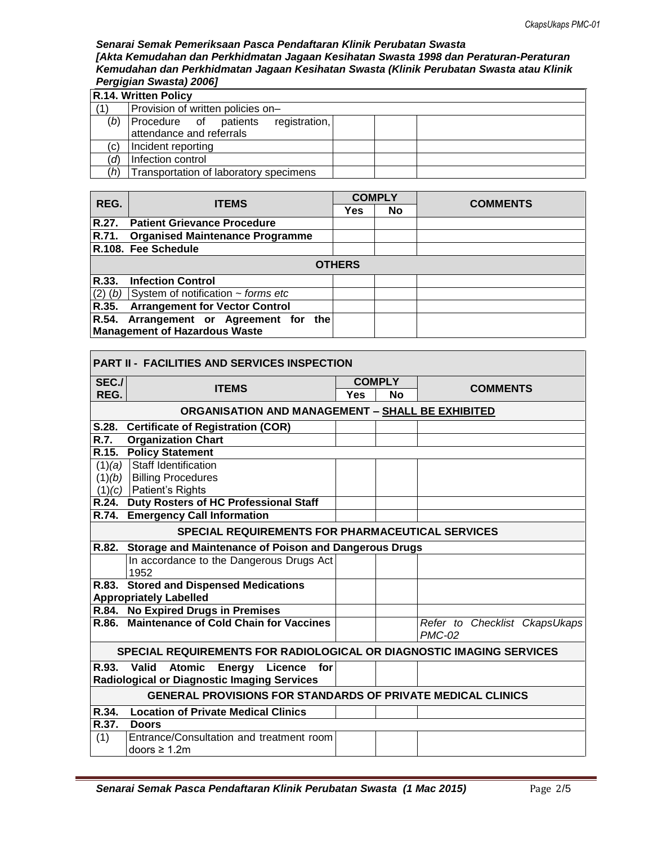|     | R.14. Written Policy                   |  |  |  |
|-----|----------------------------------------|--|--|--|
| (1) | Provision of written policies on-      |  |  |  |
| (b) | registration,<br>Procedure of patients |  |  |  |
|     | attendance and referrals               |  |  |  |
| (c) | Incident reporting                     |  |  |  |
| ίdλ | Infection control                      |  |  |  |
| (h) | Transportation of laboratory specimens |  |  |  |

| REG.          | <b>ITEMS</b>                            | <b>COMPLY</b> |           | <b>COMMENTS</b> |  |
|---------------|-----------------------------------------|---------------|-----------|-----------------|--|
|               |                                         | Yes           | <b>No</b> |                 |  |
| R.27.         | <b>Patient Grievance Procedure</b>      |               |           |                 |  |
|               | R.71. Organised Maintenance Programme   |               |           |                 |  |
|               | R.108. Fee Schedule                     |               |           |                 |  |
| <b>OTHERS</b> |                                         |               |           |                 |  |
| R.33.         | <b>Infection Control</b>                |               |           |                 |  |
| $(2)$ $(b)$   | System of notification $\sim$ forms etc |               |           |                 |  |
|               | R.35. Arrangement for Vector Control    |               |           |                 |  |
|               | R.54. Arrangement or Agreement for the  |               |           |                 |  |
|               | <b>Management of Hazardous Waste</b>    |               |           |                 |  |

| <b>PART II - FACILITIES AND SERVICES INSPECTION</b> |                                                                                             |               |           |                                           |
|-----------------------------------------------------|---------------------------------------------------------------------------------------------|---------------|-----------|-------------------------------------------|
| SEC./                                               | <b>ITEMS</b>                                                                                | <b>COMPLY</b> |           |                                           |
| REG.                                                |                                                                                             | <b>Yes</b>    | <b>No</b> | <b>COMMENTS</b>                           |
|                                                     | ORGANISATION AND MANAGEMENT - SHALL BE EXHIBITED                                            |               |           |                                           |
|                                                     | S.28. Certificate of Registration (COR)                                                     |               |           |                                           |
| <b>R.7.</b>                                         | <b>Organization Chart</b>                                                                   |               |           |                                           |
|                                                     | R.15. Policy Statement                                                                      |               |           |                                           |
|                                                     | $(1)(a)$ Staff Identification                                                               |               |           |                                           |
|                                                     | $(1)(b)$ Billing Procedures                                                                 |               |           |                                           |
|                                                     | $(1)(c)$ Patient's Rights                                                                   |               |           |                                           |
|                                                     | R.24. Duty Rosters of HC Professional Staff                                                 |               |           |                                           |
|                                                     | R.74. Emergency Call Information                                                            |               |           |                                           |
|                                                     | <b>SPECIAL REQUIREMENTS FOR PHARMACEUTICAL SERVICES</b>                                     |               |           |                                           |
| R.82.                                               | <b>Storage and Maintenance of Poison and Dangerous Drugs</b>                                |               |           |                                           |
|                                                     | In accordance to the Dangerous Drugs Act<br>1952                                            |               |           |                                           |
|                                                     | R.83. Stored and Dispensed Medications                                                      |               |           |                                           |
|                                                     | <b>Appropriately Labelled</b>                                                               |               |           |                                           |
|                                                     | R.84. No Expired Drugs in Premises                                                          |               |           |                                           |
|                                                     | R.86. Maintenance of Cold Chain for Vaccines                                                |               |           | Refer to Checklist CkapsUkaps<br>$PMC-02$ |
|                                                     | SPECIAL REQUIREMENTS FOR RADIOLOGICAL OR DIAGNOSTIC IMAGING SERVICES                        |               |           |                                           |
|                                                     | R.93. Valid Atomic Energy Licence for<br><b>Radiological or Diagnostic Imaging Services</b> |               |           |                                           |
|                                                     |                                                                                             |               |           |                                           |
|                                                     | <b>GENERAL PROVISIONS FOR STANDARDS OF PRIVATE MEDICAL CLINICS</b>                          |               |           |                                           |
| R.34.                                               | <b>Location of Private Medical Clinics</b>                                                  |               |           |                                           |
| R.37.                                               | <b>Doors</b>                                                                                |               |           |                                           |
| (1)                                                 | Entrance/Consultation and treatment room<br>doors $\geq 1.2$ m                              |               |           |                                           |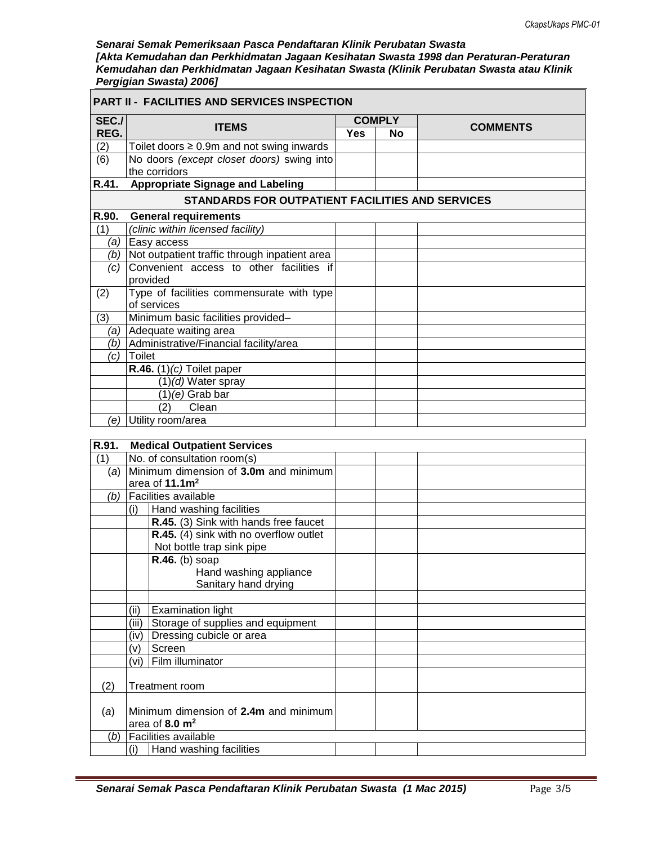| <b>PART II - FACILITIES AND SERVICES INSPECTION</b> |                                                 |               |           |                 |
|-----------------------------------------------------|-------------------------------------------------|---------------|-----------|-----------------|
| SEC./                                               | <b>ITEMS</b>                                    | <b>COMPLY</b> |           | <b>COMMENTS</b> |
| REG.                                                |                                                 | Yes           | <b>No</b> |                 |
| (2)                                                 | Toilet doors $\geq 0.9$ m and not swing inwards |               |           |                 |
| (6)                                                 | No doors (except closet doors) swing into       |               |           |                 |
|                                                     | the corridors                                   |               |           |                 |
| R.41.                                               | <b>Appropriate Signage and Labeling</b>         |               |           |                 |
| STANDARDS FOR OUTPATIENT FACILITIES AND SERVICES    |                                                 |               |           |                 |
| R.90.                                               | <b>General requirements</b>                     |               |           |                 |
| (1)                                                 | (clinic within licensed facility)               |               |           |                 |
|                                                     | (a) Easy access                                 |               |           |                 |
| (b)                                                 | Not outpatient traffic through inpatient area   |               |           |                 |
| (c)                                                 | Convenient access to other facilities if        |               |           |                 |
|                                                     | provided                                        |               |           |                 |
| (2)                                                 | Type of facilities commensurate with type       |               |           |                 |
|                                                     | of services                                     |               |           |                 |
| (3)                                                 | Minimum basic facilities provided-              |               |           |                 |
| (a)                                                 | Adequate waiting area                           |               |           |                 |
| (b)                                                 | Administrative/Financial facility/area          |               |           |                 |
| (c)                                                 | <b>Toilet</b>                                   |               |           |                 |
|                                                     | R.46. $(1)(c)$ Toilet paper                     |               |           |                 |
|                                                     | (1)(d) Water spray                              |               |           |                 |
|                                                     | $(1)(e)$ Grab bar                               |               |           |                 |
|                                                     | Clean<br>(2)                                    |               |           |                 |
|                                                     | (e) Utility room/area                           |               |           |                 |

| R.91. | <b>Medical Outpatient Services</b>         |  |
|-------|--------------------------------------------|--|
| (1)   | No. of consultation room(s)                |  |
| (a)   | Minimum dimension of 3.0m and minimum      |  |
|       | area of 11.1m <sup>2</sup>                 |  |
|       | (b) Facilities available                   |  |
|       | Hand washing facilities<br>(i)             |  |
|       | R.45. (3) Sink with hands free faucet      |  |
|       | R.45. (4) sink with no overflow outlet     |  |
|       | Not bottle trap sink pipe                  |  |
|       | $R.46.$ (b) soap                           |  |
|       | Hand washing appliance                     |  |
|       | Sanitary hand drying                       |  |
|       |                                            |  |
|       | <b>Examination light</b><br>(ii)           |  |
|       | Storage of supplies and equipment<br>(iii) |  |
|       | Dressing cubicle or area<br>(iv)           |  |
|       | Screen<br>(v)                              |  |
|       | (vi) Film illuminator                      |  |
|       |                                            |  |
| (2)   | <b>Treatment room</b>                      |  |
|       |                                            |  |
| (a)   | Minimum dimension of 2.4m and minimum      |  |
|       | area of $8.0 \text{ m}^2$                  |  |
| (b)   | <b>Facilities available</b>                |  |
|       | Hand washing facilities<br>(i)             |  |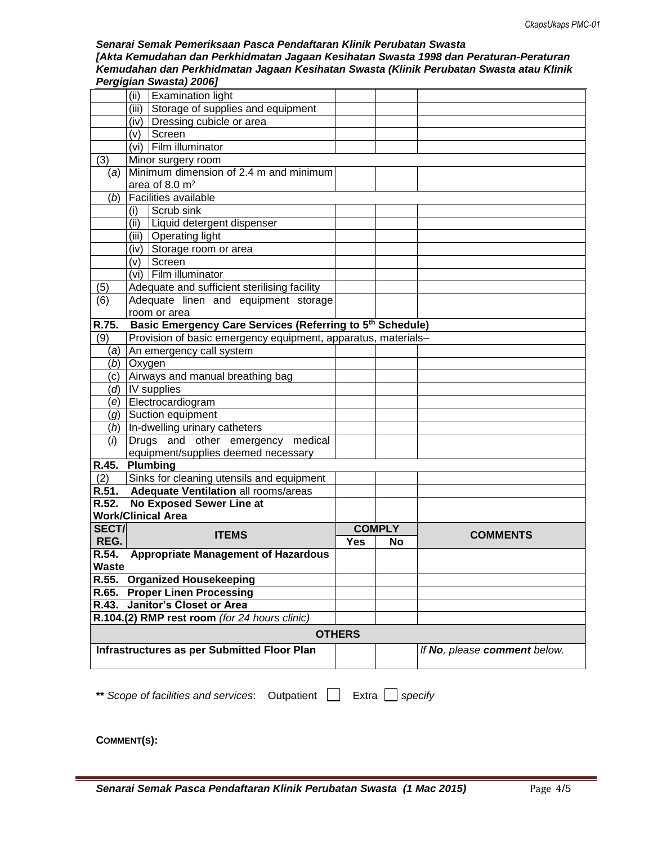|                                               | (ii)                  | <b>Examination light</b>                                      |               |               |                              |
|-----------------------------------------------|-----------------------|---------------------------------------------------------------|---------------|---------------|------------------------------|
|                                               |                       | (iii) Storage of supplies and equipment                       |               |               |                              |
|                                               |                       | (iv) Dressing cubicle or area                                 |               |               |                              |
|                                               |                       | $(v)$ Screen                                                  |               |               |                              |
|                                               | (vi) Film illuminator |                                                               |               |               |                              |
| (3)                                           |                       | Minor surgery room                                            |               |               |                              |
| (a)                                           |                       | Minimum dimension of 2.4 m and minimum                        |               |               |                              |
|                                               |                       | area of 8.0 $m2$                                              |               |               |                              |
| (b)                                           |                       | Facilities available                                          |               |               |                              |
|                                               | (i)                   | Scrub sink                                                    |               |               |                              |
|                                               |                       | (ii) Liquid detergent dispenser                               |               |               |                              |
|                                               |                       | (iii) Operating light                                         |               |               |                              |
|                                               |                       | (iv) Storage room or area                                     |               |               |                              |
|                                               | (v)                   | Screen                                                        |               |               |                              |
|                                               |                       | (vi) Film illuminator                                         |               |               |                              |
| (5)                                           |                       | Adequate and sufficient sterilising facility                  |               |               |                              |
| (6)                                           |                       | Adequate linen and equipment storage                          |               |               |                              |
|                                               |                       | room or area                                                  |               |               |                              |
| R.75.                                         |                       | Basic Emergency Care Services (Referring to 5th Schedule)     |               |               |                              |
| (9)                                           |                       | Provision of basic emergency equipment, apparatus, materials- |               |               |                              |
| (a)                                           |                       | An emergency call system                                      |               |               |                              |
| (b)                                           | Oxygen                |                                                               |               |               |                              |
| (c)                                           |                       | Airways and manual breathing bag                              |               |               |                              |
|                                               |                       | (d) IV supplies                                               |               |               |                              |
|                                               |                       | e) Electrocardiogram                                          |               |               |                              |
|                                               |                       | (g) Suction equipment                                         |               |               |                              |
|                                               |                       | $(h)$ In-dwelling urinary catheters                           |               |               |                              |
| $\left( i\right)$                             |                       | Drugs and other emergency medical                             |               |               |                              |
|                                               |                       | equipment/supplies deemed necessary                           |               |               |                              |
| R.45.                                         |                       | Plumbing                                                      |               |               |                              |
| (2)                                           |                       | Sinks for cleaning utensils and equipment                     |               |               |                              |
| R.51.                                         |                       | <b>Adequate Ventilation all rooms/areas</b>                   |               |               |                              |
| R.52.                                         |                       | <b>No Exposed Sewer Line at</b>                               |               |               |                              |
|                                               |                       | <b>Work/Clinical Area</b>                                     |               |               |                              |
| SECT/                                         |                       | <b>ITEMS</b>                                                  |               | <b>COMPLY</b> | <b>COMMENTS</b>              |
| REG.                                          |                       |                                                               | <b>Yes</b>    | No            |                              |
| R.54.                                         |                       | <b>Appropriate Management of Hazardous</b>                    |               |               |                              |
| <b>Waste</b>                                  |                       |                                                               |               |               |                              |
| R.55.                                         |                       | <b>Organized Housekeeping</b>                                 |               |               |                              |
| R.65.                                         |                       | <b>Proper Linen Processing</b>                                |               |               |                              |
| R.43.                                         |                       | <b>Janitor's Closet or Area</b>                               |               |               |                              |
| R.104.(2) RMP rest room (for 24 hours clinic) |                       |                                                               |               |               |                              |
|                                               |                       |                                                               | <b>OTHERS</b> |               |                              |
|                                               |                       | Infrastructures as per Submitted Floor Plan                   |               |               | If No, please comment below. |
|                                               |                       |                                                               |               |               |                              |

\*\* *Scope of facilities and services*: Outpatient **Extra** *Specify* 

**COMMENT(S):**